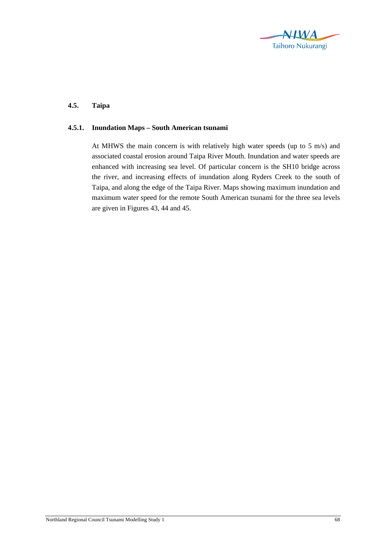

## **4.5. Taipa**

## **4.5.1. Inundation Maps – South American tsunami**

At MHWS the main concern is with relatively high water speeds (up to 5 m/s) and associated coastal erosion around Taipa River Mouth. Inundation and water speeds are enhanced with increasing sea level. Of particular concern is the SH10 bridge across the river, and increasing effects of inundation along Ryders Creek to the south of Taipa, and along the edge of the Taipa River. Maps showing maximum inundation and maximum water speed for the remote South American tsunami for the three sea levels are given in Figures 43, 44 and 45.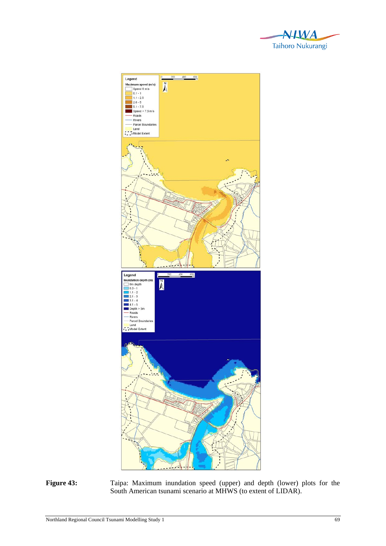



**Figure 43:** Taipa: Maximum inundation speed (upper) and depth (lower) plots for the South American tsunami scenario at MHWS (to extent of LIDAR).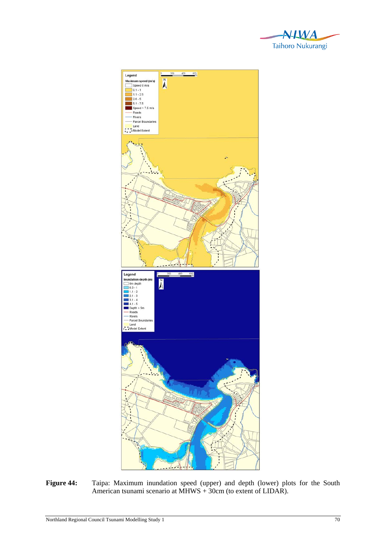



**Figure 44:** Taipa: Maximum inundation speed (upper) and depth (lower) plots for the South American tsunami scenario at MHWS + 30cm (to extent of LIDAR).